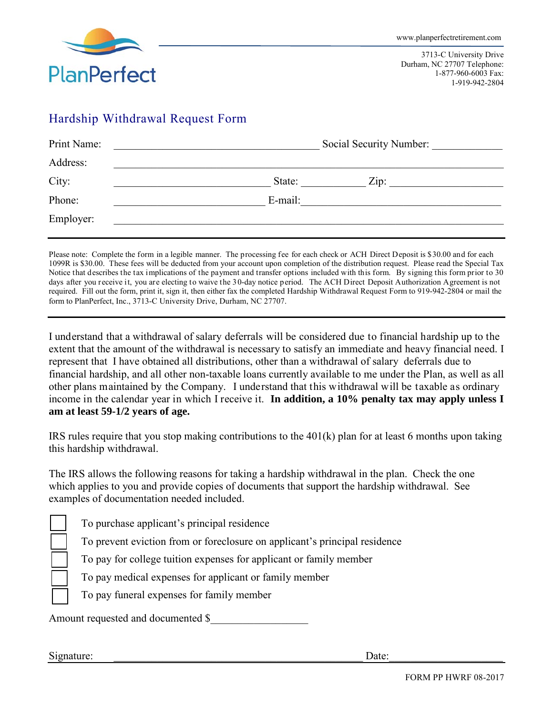

3713-C University Drive Durham, NC 27707 Telephone: 1-877-960-6003 Fax: 1-919-942-2804

# Hardship Withdrawal Request Form

| Print Name: | Social Security Number: |  |
|-------------|-------------------------|--|
| Address:    |                         |  |
| City:       | State:<br>Zip:          |  |
| Phone:      | E-mail:                 |  |
| Employer:   |                         |  |

Please note: Complete the form in a legible manner. The processing fee for each check or ACH Direct Deposit is \$30.00 and for each 1099R is \$30.00. These fees will be deducted from your account upon completion of the distribution request. Please read the Special Tax Notice that describes the tax implications of the payment and transfer options included with this form. By signing this form prior to 30 days after you receive it, you are electing to waive the 30-day notice period. The ACH Direct Deposit Authorization Agreement is not required. Fill out the form, print it, sign it, then either fax the completed Hardship Withdrawal Request Form to 919-942-2804 or mail the form to PlanPerfect, Inc., 3713-C University Drive, Durham, NC 27707.

I understand that a withdrawal of salary deferrals will be considered due to financial hardship up to the extent that the amount of the withdrawal is necessary to satisfy an immediate and heavy financial need. I represent that I have obtained all distributions, other than a withdrawal of salary deferrals due to financial hardship, and all other non-taxable loans currently available to me under the Plan, as well as all other plans maintained by the Company. I understand that this withdrawal will be taxable as ordinary income in the calendar year in which I receive it. **In addition, a 10% penalty tax may apply unless I am at least 59-1/2 years of age.** 

IRS rules require that you stop making contributions to the 401(k) plan for at least 6 months upon taking this hardship withdrawal.

The IRS allows the following reasons for taking a hardship withdrawal in the plan. Check the one which applies to you and provide copies of documents that support the hardship withdrawal. See examples of documentation needed included.

To purchase applicant's principal residence

To prevent eviction from or foreclosure on applicant's principal residence

To pay for college tuition expenses for applicant or family member

To pay medical expenses for applicant or family member

To pay funeral expenses for family member

Amount requested and documented \$

Signature: \_\_\_\_\_\_\_\_\_\_\_\_\_\_\_\_\_\_\_\_\_\_\_\_\_\_\_\_\_\_\_\_\_\_\_\_\_\_\_\_\_\_\_\_\_\_ Date:\_\_\_\_\_\_\_\_\_\_\_\_\_\_\_\_\_\_\_\_\_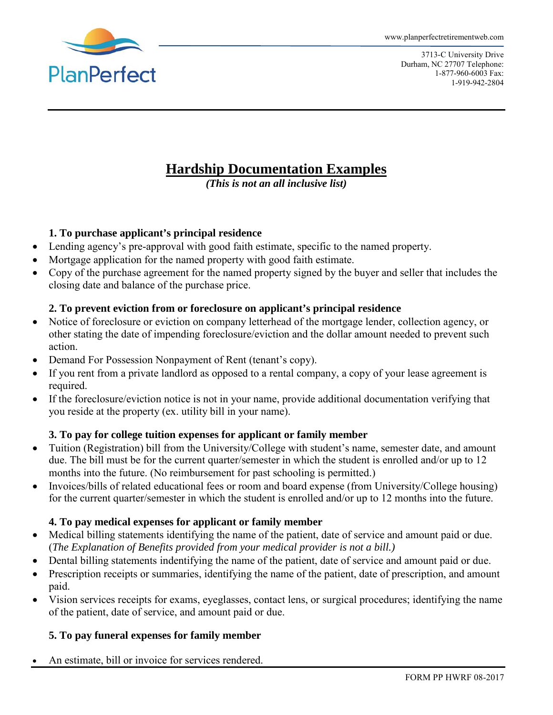

3713-C University Drive Durham, NC 27707 Telephone: 1-877-960-6003 Fax: 1-919-942-2804

# **Hardship Documentation Examples**

*(This is not an all inclusive list)* 

## **1. To purchase applicant's principal residence**

- Lending agency's pre-approval with good faith estimate, specific to the named property.
- Mortgage application for the named property with good faith estimate.
- Copy of the purchase agreement for the named property signed by the buyer and seller that includes the closing date and balance of the purchase price.

### **2. To prevent eviction from or foreclosure on applicant's principal residence**

- Notice of foreclosure or eviction on company letterhead of the mortgage lender, collection agency, or other stating the date of impending foreclosure/eviction and the dollar amount needed to prevent such action.
- Demand For Possession Nonpayment of Rent (tenant's copy).
- If you rent from a private landlord as opposed to a rental company, a copy of your lease agreement is required.
- If the foreclosure/eviction notice is not in your name, provide additional documentation verifying that you reside at the property (ex. utility bill in your name).

## **3. To pay for college tuition expenses for applicant or family member**

- Tuition (Registration) bill from the University/College with student's name, semester date, and amount due. The bill must be for the current quarter/semester in which the student is enrolled and/or up to 12 months into the future. (No reimbursement for past schooling is permitted.)
- Invoices/bills of related educational fees or room and board expense (from University/College housing) for the current quarter/semester in which the student is enrolled and/or up to 12 months into the future.

## **4. To pay medical expenses for applicant or family member**

- Medical billing statements identifying the name of the patient, date of service and amount paid or due. (*The Explanation of Benefits provided from your medical provider is not a bill.)*
- Dental billing statements indentifying the name of the patient, date of service and amount paid or due.
- Prescription receipts or summaries, identifying the name of the patient, date of prescription, and amount paid.
- Vision services receipts for exams, eyeglasses, contact lens, or surgical procedures; identifying the name of the patient, date of service, and amount paid or due.

## **5. To pay funeral expenses for family member**

An estimate, bill or invoice for services rendered.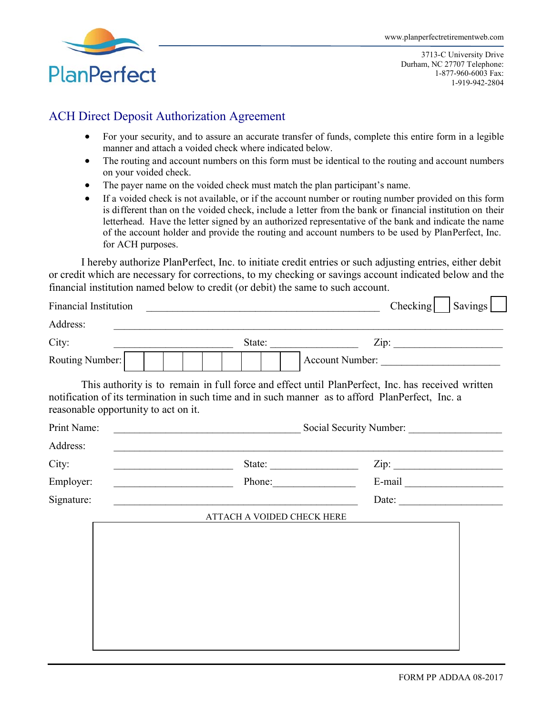

3713-C University Drive Durham, NC 27707 Telephone: 1-877-960-6003 Fax: 1-919-942-2804

# ACH Direct Deposit Authorization Agreement

- For your security, and to assure an accurate transfer of funds, complete this entire form in a legible manner and attach a voided check where indicated below.
- The routing and account numbers on this form must be identical to the routing and account numbers on your voided check.
- The payer name on the voided check must match the plan participant's name.
- If a voided check is not available, or if the account number or routing number provided on this form is different than on the voided check, include a letter from the bank or financial institution on their letterhead. Have the letter signed by an authorized representative of the bank and indicate the name of the account holder and provide the routing and account numbers to be used by PlanPerfect, Inc. for ACH purposes.

I hereby authorize PlanPerfect, Inc. to initiate credit entries or such adjusting entries, either debit or credit which are necessary for corrections, to my checking or savings account indicated below and the financial institution named below to credit (or debit) the same to such account.

| <b>Financial Institution</b> |                                                                                                                                                                                                                                               | Checking              | Savings |  |
|------------------------------|-----------------------------------------------------------------------------------------------------------------------------------------------------------------------------------------------------------------------------------------------|-----------------------|---------|--|
| Address:                     |                                                                                                                                                                                                                                               |                       |         |  |
| City:                        | State:                                                                                                                                                                                                                                        | Zip:                  |         |  |
| Routing Number:              |                                                                                                                                                                                                                                               | Account Number:       |         |  |
|                              | This authority is to remain in full force and effect until PlanPerfect, Inc. has received written<br>notification of its termination in such time and in such manner as to afford PlanPerfect, Inc. a<br>reasonable opportunity to act on it. |                       |         |  |
| Print Name:                  | Social Security Number:                                                                                                                                                                                                                       |                       |         |  |
| Address:                     | ,我们也不能在这里的时候,我们也不能在这里的时候,我们也不能在这里的时候,我们也不能会在这里的时候,我们也不能会在这里的时候,我们也不能会在这里的时候,我们也不                                                                                                                                                              |                       |         |  |
| City:                        | <u> 2000 - Andrea Andrew Maria (b. 19</u>                                                                                                                                                                                                     | Zip:                  |         |  |
| Employer:                    | <u> Alexandria (m. 1888)</u>                                                                                                                                                                                                                  |                       |         |  |
| Signature:                   |                                                                                                                                                                                                                                               | Date: $\qquad \qquad$ |         |  |
| ATTACH A VOIDED CHECK HERE   |                                                                                                                                                                                                                                               |                       |         |  |
|                              |                                                                                                                                                                                                                                               |                       |         |  |
|                              |                                                                                                                                                                                                                                               |                       |         |  |
|                              |                                                                                                                                                                                                                                               |                       |         |  |
|                              |                                                                                                                                                                                                                                               |                       |         |  |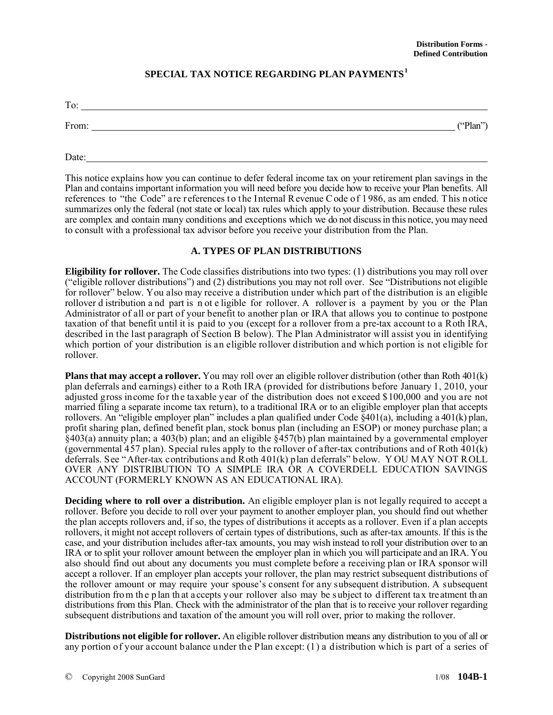### **SPECIAL TAX NOTICE REGARDING PLAN PAYMENTS[1](#page-8-0)**

| To:   |          |
|-------|----------|
| From: | ("Plan") |
|       |          |

This notice explains how you can continue to defer federal income tax on your retirement plan savings in the Plan and contains important information you will need before you decide how to receive your Plan benefits. All references to "the Code" are references to the Internal Revenue Code of 1986, as am ended. This notice summarizes only the federal (not state or local) tax rules which apply to your distribution. Because these rules are complex and contain many conditions and exceptions which we do not discuss in this notice, you may need to consult with a professional tax advisor before you receive your distribution from the Plan.

#### **A. TYPES OF PLAN DISTRIBUTIONS**

**Eligibility for rollover.** The Code classifies distributions into two types: (1) distributions you may roll over ("eligible rollover distributions") and (2) distributions you may not roll over. See "Distributions not eligible for rollover" below. You also may receive a distribution under which part of the distribution is an eligible rollover d istribution a nd part is n ot e ligible for rollover. A rollover is a payment by you or the Plan Administrator of all or part of your benefit to another plan or IRA that allows you to continue to postpone taxation of that benefit until it is paid to you (except for a rollover from a pre-tax account to a Roth IRA, described in the last paragraph of Section B below). The Plan Administrator will assist you in identifying which portion of your distribution is an eligible rollover distribution and which portion is not eligible for rollover.

**Plans that may accept a rollover.** You may roll over an eligible rollover distribution (other than Roth 401(k) plan deferrals and earnings) either to a Roth IRA (provided for distributions before January 1, 2010, your adjusted gross income for the taxable year of the distribution does not exceed \$100,000 and you are not married filing a separate income tax return), to a traditional IRA or to an eligible employer plan that accepts rollovers. An "eligible employer plan" includes a plan qualified under Code §401(a), including a 401(k) plan, profit sharing plan, defined benefit plan, stock bonus plan (including an ESOP) or money purchase plan; a  $\hat{\varsigma}$ 403(a) annuity plan; a 403(b) plan; and an eligible  $\hat{\varsigma}$ 457(b) plan maintained by a governmental employer (governmental 457 plan). Special rules apply to the rollover of after-tax contributions and of Roth 401(k) deferrals. See "After-tax contributions and Roth 401(k) plan deferrals" below. Y OU MAY NOT ROLL OVER ANY DISTRIBUTION TO A SIMPLE IRA OR A COVERDELL EDUCATION SAVINGS ACCOUNT (FORMERLY KNOWN AS AN EDUCATIONAL IRA).

**Deciding where to roll over a distribution.** An eligible employer plan is not legally required to accept a rollover. Before you decide to roll over your payment to another employer plan, you should find out whether the plan accepts rollovers and, if so, the types of distributions it accepts as a rollover. Even if a plan accepts rollovers, it might not accept rollovers of certain types of distributions, such as after-tax amounts. If this is the case, and your distribution includes after-tax amounts, you may wish instead to roll your distribution over to an IRA or to split your rollover amount between the employer plan in which you will participate and an IRA. You also should find out about any documents you must complete before a receiving plan or IRA sponsor will accept a rollover. If an employer plan accepts your rollover, the plan may restrict subsequent distributions of the rollover amount or may require your spouse's consent for any subsequent distribution. A subsequent distribution from the p lan that a ccepts your rollover also may be subject to different tax treatment than distributions from this Plan. Check with the administrator of the plan that is to receive your rollover regarding subsequent distributions and taxation of the amount you will roll over, prior to making the rollover.

**Distributions not eligible for rollover.** An eligible rollover distribution means any distribution to you of all or any portion of your account balance under the Plan except: (1) a distribution which is part of a series of

Date: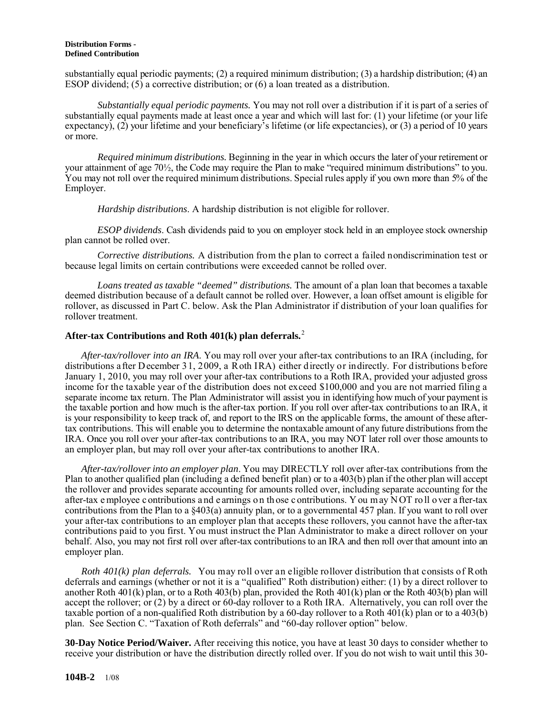#### **Distribution Forms - Defined Contribution**

substantially equal periodic payments; (2) a required minimum distribution; (3) a hardship distribution; (4) an ESOP dividend;  $(5)$  a corrective distribution; or  $(6)$  a loan treated as a distribution.

 *Substantially equal periodic payments.* You may not roll over a distribution if it is part of a series of substantially equal payments made at least once a year and which will last for: (1) your lifetime (or your life expectancy), (2) your lifetime and your beneficiary's lifetime (or life expectancies), or (3) a period of 10 years or more.

 *Required minimum distributions.* Beginning in the year in which occurs the later of your retirement or your attainment of age 70½, the Code may require the Plan to make "required minimum distributions" to you. You may not roll over the required minimum distributions. Special rules apply if you own more than 5% of the Employer.

*Hardship distributions*. A hardship distribution is not eligible for rollover.

 *ESOP dividends*. Cash dividends paid to you on employer stock held in an employee stock ownership plan cannot be rolled over.

 *Corrective distributions.* A distribution from the plan to correct a failed nondiscrimination test or because legal limits on certain contributions were exceeded cannot be rolled over.

 *Loans treated as taxable "deemed" distributions.* The amount of a plan loan that becomes a taxable deemed distribution because of a default cannot be rolled over. However, a loan offset amount is eligible for rollover, as discussed in Part C. below. Ask the Plan Administrator if distribution of your loan qualifies for rollover treatment.

### **After-tax Contributions and Roth 401(k) plan deferrals.**[2](#page-8-1)

*After-tax/rollover into an IRA*. You may roll over your after-tax contributions to an IRA (including, for distributions after December 31, 2009, a Roth IRA) either directly or indirectly. For distributions before January 1, 2010, you may roll over your after-tax contributions to a Roth IRA, provided your adjusted gross income for the taxable year of the distribution does not exceed \$100,000 and you are not married filing a separate income tax return. The Plan Administrator will assist you in identifying how much of your payment is the taxable portion and how much is the after-tax portion. If you roll over after-tax contributions to an IRA, it is your responsibility to keep track of, and report to the IRS on the applicable forms, the amount of these aftertax contributions. This will enable you to determine the nontaxable amount of any future distributions from the IRA. Once you roll over your after-tax contributions to an IRA, you may NOT later roll over those amounts to an employer plan, but may roll over your after-tax contributions to another IRA.

*After-tax/rollover into an employer plan*. You may DIRECTLY roll over after-tax contributions from the Plan to another qualified plan (including a defined benefit plan) or to a 403(b) plan if the other plan will accept the rollover and provides separate accounting for amounts rolled over, including separate accounting for the after-tax e mployee c ontributions a nd e arnings o n th ose c ontributions. Y ou m ay N OT ro ll o ver a fter-tax contributions from the Plan to a §403(a) annuity plan, or to a governmental 457 plan. If you want to roll over your after-tax contributions to an employer plan that accepts these rollovers, you cannot have the after-tax contributions paid to you first. You must instruct the Plan Administrator to make a direct rollover on your behalf. Also, you may not first roll over after-tax contributions to an IRA and then roll over that amount into an employer plan.

*Roth 401(k) plan deferrals.* You may roll over an eligible rollover distribution that consists of Roth deferrals and earnings (whether or not it is a "qualified" Roth distribution) either: (1) by a direct rollover to another Roth  $401(k)$  plan, or to a Roth  $403(b)$  plan, provided the Roth  $401(k)$  plan or the Roth  $403(b)$  plan will accept the rollover; or (2) by a direct or 60-day rollover to a Roth IRA. Alternatively, you can roll over the taxable portion of a non-qualified Roth distribution by a 60-day rollover to a Roth 401(k) plan or to a 403(b) plan. See Section C. "Taxation of Roth deferrals" and "60-day rollover option" below.

**30-Day Notice Period/Waiver.** After receiving this notice, you have at least 30 days to consider whether to receive your distribution or have the distribution directly rolled over. If you do not wish to wait until this 30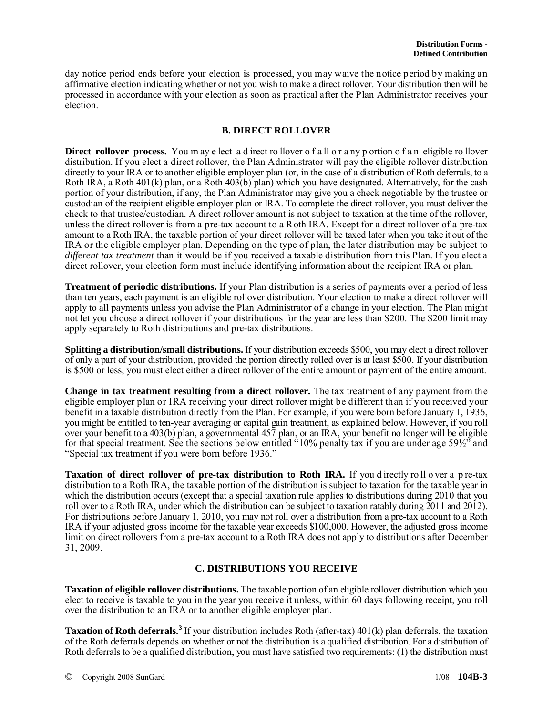day notice period ends before your election is processed, you may waive the notice period by making an affirmative election indicating whether or not you wish to make a direct rollover. Your distribution then will be processed in accordance with your election as soon as practical after the Plan Administrator receives your election.

### **B. DIRECT ROLLOVER**

**Direct rollover process.** You may e lect a d irect rollover of all or a ny p ortion of a n eligible rollover distribution. If you elect a direct rollover, the Plan Administrator will pay the eligible rollover distribution directly to your IRA or to another eligible employer plan (or, in the case of a distribution of Roth deferrals, to a Roth IRA, a Roth 401(k) plan, or a Roth 403(b) plan) which you have designated. Alternatively, for the cash portion of your distribution, if any, the Plan Administrator may give you a check negotiable by the trustee or custodian of the recipient eligible employer plan or IRA. To complete the direct rollover, you must deliver the check to that trustee/custodian. A direct rollover amount is not subject to taxation at the time of the rollover, unless the direct rollover is from a pre-tax account to a Roth IRA. Except for a direct rollover of a pre-tax amount to a Roth IRA, the taxable portion of your direct rollover will be taxed later when you take it out of the IRA or the eligible employer plan. Depending on the type of plan, the later distribution may be subject to *different tax treatment* than it would be if you received a taxable distribution from this Plan. If you elect a direct rollover, your election form must include identifying information about the recipient IRA or plan.

**Treatment of periodic distributions.** If your Plan distribution is a series of payments over a period of less than ten years, each payment is an eligible rollover distribution. Your election to make a direct rollover will apply to all payments unless you advise the Plan Administrator of a change in your election. The Plan might not let you choose a direct rollover if your distributions for the year are less than \$200. The \$200 limit may apply separately to Roth distributions and pre-tax distributions.

**Splitting a distribution/small distributions.** If your distribution exceeds \$500, you may elect a direct rollover of only a part of your distribution, provided the portion directly rolled over is at least \$500. If your distribution is \$500 or less, you must elect either a direct rollover of the entire amount or payment of the entire amount.

**Change in tax treatment resulting from a direct rollover.** The tax treatment of any payment from the eligible employer plan or IRA receiving your direct rollover might be different than if y ou received your benefit in a taxable distribution directly from the Plan. For example, if you were born before January 1, 1936, you might be entitled to ten-year averaging or capital gain treatment, as explained below. However, if you roll over your benefit to a 403(b) plan, a governmental 457 plan, or an IRA, your benefit no longer will be eligible for that special treatment. See the sections below entitled "10% penalty tax if you are under age 59½" and "Special tax treatment if you were born before 1936."

**Taxation of direct rollover of pre-tax distribution to Roth IRA.** If you directly roll over a p re-tax distribution to a Roth IRA, the taxable portion of the distribution is subject to taxation for the taxable year in which the distribution occurs (except that a special taxation rule applies to distributions during 2010 that you roll over to a Roth IRA, under which the distribution can be subject to taxation ratably during 2011 and 2012). For distributions before January 1, 2010, you may not roll over a distribution from a pre-tax account to a Roth IRA if your adjusted gross income for the taxable year exceeds \$100,000. However, the adjusted gross income limit on direct rollovers from a pre-tax account to a Roth IRA does not apply to distributions after December 31, 2009.

### **C. DISTRIBUTIONS YOU RECEIVE**

**Taxation of eligible rollover distributions.** The taxable portion of an eligible rollover distribution which you elect to receive is taxable to you in the year you receive it unless, within 60 days following receipt, you roll over the distribution to an IRA or to another eligible employer plan.

**Taxation of Roth deferrals.[3](#page-8-2)** If your distribution includes Roth (after-tax) 401(k) plan deferrals, the taxation of the Roth deferrals depends on whether or not the distribution is a qualified distribution. For a distribution of Roth deferrals to be a qualified distribution, you must have satisfied two requirements: (1) the distribution must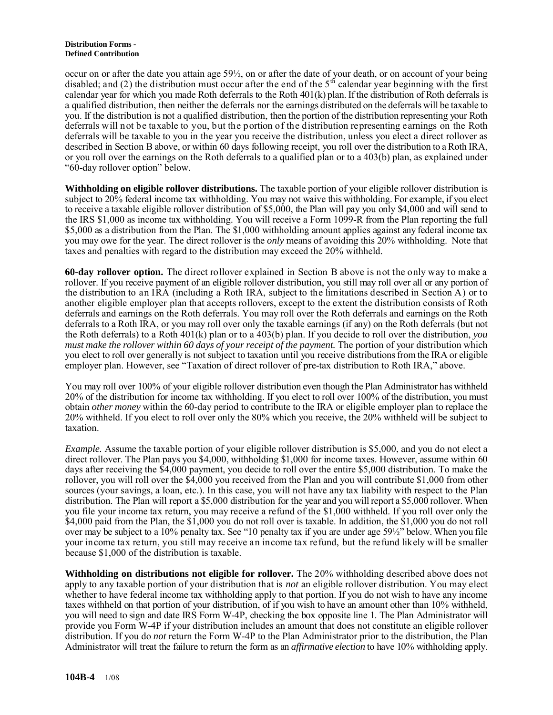#### **Distribution Forms - Defined Contribution**

occur on or after the date you attain age 59½, on or after the date of your death, or on account of your being disabled; and (2) the distribution must occur after the end of the  $5<sup>th</sup>$  calendar year beginning with the first calendar year for which you made Roth deferrals to the Roth 401(k) plan. If the distribution of Roth deferrals is a qualified distribution, then neither the deferrals nor the earnings distributed on the deferrals will be taxable to you. If the distribution is not a qualified distribution, then the portion of the distribution representing your Roth deferrals will not be taxable to you, but the portion of the distribution representing earnings on the Roth deferrals will be taxable to you in the year you receive the distribution, unless you elect a direct rollover as described in Section B above, or within 60 days following receipt, you roll over the distribution to a Roth IRA, or you roll over the earnings on the Roth deferrals to a qualified plan or to a 403(b) plan, as explained under "60-day rollover option" below.

**Withholding on eligible rollover distributions.** The taxable portion of your eligible rollover distribution is subject to 20% federal income tax withholding. You may not waive this withholding. For example, if you elect to receive a taxable eligible rollover distribution of \$5,000, the Plan will pay you only \$4,000 and will send to the IRS \$1,000 as income tax withholding. You will receive a Form 1099-R from the Plan reporting the full \$5,000 as a distribution from the Plan. The \$1,000 withholding amount applies against any federal income tax you may owe for the year. The direct rollover is the *only* means of avoiding this 20% withholding. Note that taxes and penalties with regard to the distribution may exceed the 20% withheld.

**60-day rollover option.** The direct rollover explained in Section B above is not the only way to make a rollover. If you receive payment of an eligible rollover distribution, you still may roll over all or any portion of the distribution to an IRA (including a Roth IRA, subject to the limitations described in Section A) or to another eligible employer plan that accepts rollovers, except to the extent the distribution consists of Roth deferrals and earnings on the Roth deferrals. You may roll over the Roth deferrals and earnings on the Roth deferrals to a Roth IRA, or you may roll over only the taxable earnings (if any) on the Roth deferrals (but not the Roth deferrals) to a Roth 401(k) plan or to a 403(b) plan. If you decide to roll over the distribution, *you must make the rollover within 60 days of your receipt of the payment.* The portion of your distribution which you elect to roll over generally is not subject to taxation until you receive distributions from the IRA or eligible employer plan. However, see "Taxation of direct rollover of pre-tax distribution to Roth IRA," above.

You may roll over 100% of your eligible rollover distribution even though the Plan Administrator has withheld 20% of the distribution for income tax withholding. If you elect to roll over 100% of the distribution, you must obtain *other money* within the 60-day period to contribute to the IRA or eligible employer plan to replace the 20% withheld. If you elect to roll over only the 80% which you receive, the 20% withheld will be subject to taxation.

*Example.* Assume the taxable portion of your eligible rollover distribution is \$5,000, and you do not elect a direct rollover. The Plan pays you \$4,000, withholding \$1,000 for income taxes. However, assume within 60 days after receiving the \$4,000 payment, you decide to roll over the entire \$5,000 distribution. To make the rollover, you will roll over the \$4,000 you received from the Plan and you will contribute \$1,000 from other sources (your savings, a loan, etc.). In this case, you will not have any tax liability with respect to the Plan distribution. The Plan will report a \$5,000 distribution for the year and you will report a \$5,000 rollover. When you file your income tax return, you may receive a refund of the \$1,000 withheld. If you roll over only the \$4,000 paid from the Plan, the \$1,000 you do not roll over is taxable. In addition, the \$1,000 you do not roll over may be subject to a 10% penalty tax. See "10 penalty tax if you are under age 59½" below. When you file your income tax return, you still may receive an income tax refund, but the refund likely will be smaller because \$1,000 of the distribution is taxable.

**Withholding on distributions not eligible for rollover.** The 20% withholding described above does not apply to any taxable portion of your distribution that is *not* an eligible rollover distribution. You may elect whether to have federal income tax withholding apply to that portion. If you do not wish to have any income taxes withheld on that portion of your distribution, of if you wish to have an amount other than 10% withheld, you will need to sign and date IRS Form W-4P, checking the box opposite line 1. The Plan Administrator will provide you Form W-4P if your distribution includes an amount that does not constitute an eligible rollover distribution. If you do *not* return the Form W-4P to the Plan Administrator prior to the distribution, the Plan Administrator will treat the failure to return the form as an *affirmative election* to have 10% withholding apply.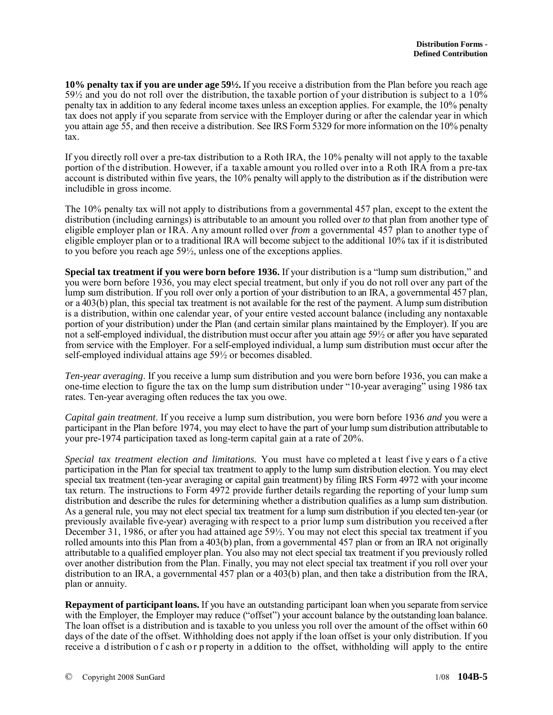**10% penalty tax if you are under age 59½.** If you receive a distribution from the Plan before you reach age  $59\frac{1}{2}$  and you do not roll over the distribution, the taxable portion of your distribution is subject to a  $10\%$ penalty tax in addition to any federal income taxes unless an exception applies. For example, the 10% penalty tax does not apply if you separate from service with the Employer during or after the calendar year in which you attain age 55, and then receive a distribution. See IRS Form 5329 for more information on the 10% penalty tax.

If you directly roll over a pre-tax distribution to a Roth IRA, the 10% penalty will not apply to the taxable portion of the distribution. However, if a taxable amount you rolled over into a Roth IRA from a pre-tax account is distributed within five years, the 10% penalty will apply to the distribution as if the distribution were includible in gross income.

The 10% penalty tax will not apply to distributions from a governmental 457 plan, except to the extent the distribution (including earnings) is attributable to an amount you rolled over *to* that plan from another type of eligible employer plan or IRA. Any amount rolled over *from* a governmental 457 plan to another type of eligible employer plan or to a traditional IRA will become subject to the additional 10% tax if it is distributed to you before you reach age 59½, unless one of the exceptions applies.

**Special tax treatment if you were born before 1936.** If your distribution is a "lump sum distribution," and you were born before 1936, you may elect special treatment, but only if you do not roll over any part of the lump sum distribution. If you roll over only a portion of your distribution to an IRA, a governmental 457 plan, or a 403(b) plan, this special tax treatment is not available for the rest of the payment. A lump sum distribution is a distribution, within one calendar year, of your entire vested account balance (including any nontaxable portion of your distribution) under the Plan (and certain similar plans maintained by the Employer). If you are not a self-employed individual, the distribution must occur after you attain age 59½ or after you have separated from service with the Employer. For a self-employed individual, a lump sum distribution must occur after the self-employed individual attains age 59½ or becomes disabled.

*Ten-year averaging*. If you receive a lump sum distribution and you were born before 1936, you can make a one-time election to figure the tax on the lump sum distribution under "10-year averaging" using 1986 tax rates. Ten-year averaging often reduces the tax you owe.

*Capital gain treatment*. If you receive a lump sum distribution, you were born before 1936 *and* you were a participant in the Plan before 1974, you may elect to have the part of your lump sum distribution attributable to your pre-1974 participation taxed as long-term capital gain at a rate of 20%.

*Special tax treatment election and limitations.* You must have co mpleted a t least f ive y ears o f a ctive participation in the Plan for special tax treatment to apply to the lump sum distribution election. You may elect special tax treatment (ten-year averaging or capital gain treatment) by filing IRS Form 4972 with your income tax return. The instructions to Form 4972 provide further details regarding the reporting of your lump sum distribution and describe the rules for determining whether a distribution qualifies as a lump sum distribution. As a general rule, you may not elect special tax treatment for a lump sum distribution if you elected ten-year (or previously available five-year) averaging with respect to a prior lump sum distribution you received after December 31, 1986, or after you had attained age 59½. You may not elect this special tax treatment if you rolled amounts into this Plan from a 403(b) plan, from a governmental 457 plan or from an IRA not originally attributable to a qualified employer plan. You also may not elect special tax treatment if you previously rolled over another distribution from the Plan. Finally, you may not elect special tax treatment if you roll over your distribution to an IRA, a governmental 457 plan or a 403(b) plan, and then take a distribution from the IRA, plan or annuity.

**Repayment of participant loans.** If you have an outstanding participant loan when you separate from service with the Employer, the Employer may reduce ("offset") your account balance by the outstanding loan balance. The loan offset is a distribution and is taxable to you unless you roll over the amount of the offset within 60 days of the date of the offset. Withholding does not apply if the loan offset is your only distribution. If you receive a d istribution o f c ash o r p roperty in a ddition to the offset, withholding will apply to the entire